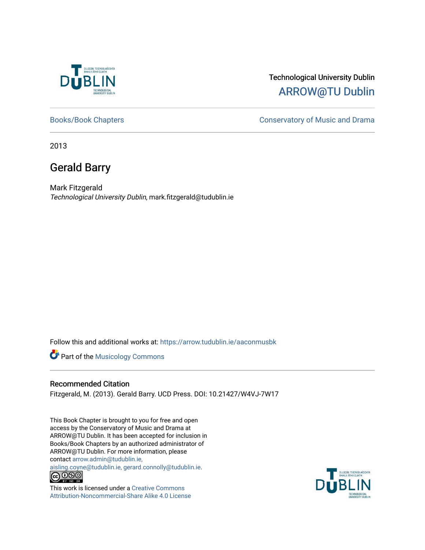

## Technological University Dublin [ARROW@TU Dublin](https://arrow.tudublin.ie/)

[Books/Book Chapters](https://arrow.tudublin.ie/aaconmusbk) **Conservatory of Music and Drama** 

2013

# Gerald Barry

Mark Fitzgerald Technological University Dublin, mark.fitzgerald@tudublin.ie

Follow this and additional works at: [https://arrow.tudublin.ie/aaconmusbk](https://arrow.tudublin.ie/aaconmusbk?utm_source=arrow.tudublin.ie%2Faaconmusbk%2F25&utm_medium=PDF&utm_campaign=PDFCoverPages)

**Part of the Musicology Commons** 

#### Recommended Citation

Fitzgerald, M. (2013). Gerald Barry. UCD Press. DOI: 10.21427/W4VJ-7W17

This Book Chapter is brought to you for free and open access by the Conservatory of Music and Drama at ARROW@TU Dublin. It has been accepted for inclusion in Books/Book Chapters by an authorized administrator of ARROW@TU Dublin. For more information, please contact [arrow.admin@tudublin.ie,](mailto:arrow.admin@tudublin.ie,%20aisling.coyne@tudublin.ie,%20gerard.connolly@tudublin.ie) 

[aisling.coyne@tudublin.ie, gerard.connolly@tudublin.ie](mailto:arrow.admin@tudublin.ie,%20aisling.coyne@tudublin.ie,%20gerard.connolly@tudublin.ie).<br> $\bigodot_{\text{IV-IV-III-0}} \bigodot_{\text{IV-IV-III-0}} \bigodot_{\text{IV-IV-III-0}}$ 



This work is licensed under a [Creative Commons](http://creativecommons.org/licenses/by-nc-sa/4.0/) [Attribution-Noncommercial-Share Alike 4.0 License](http://creativecommons.org/licenses/by-nc-sa/4.0/)

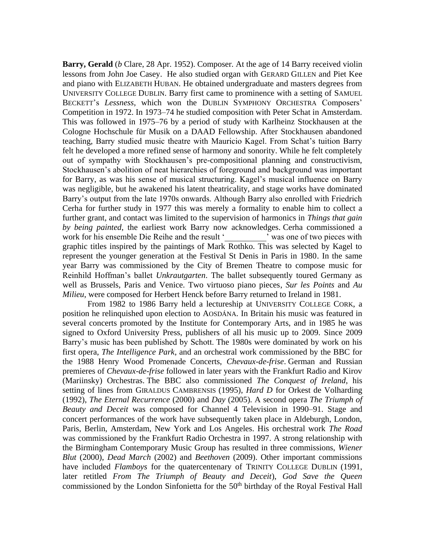**Barry, Gerald** (*b* Clare, 28 Apr. 1952). Composer. At the age of 14 Barry received violin lessons from John Joe Casey. He also studied organ with GERARD GILLEN and Piet Kee and piano with ELIZABETH HUBAN. He obtained undergraduate and masters degrees from UNIVERSITY COLLEGE DUBLIN. Barry first came to prominence with a setting of SAMUEL BECKETT's *Lessness*, which won the DUBLIN SYMPHONY ORCHESTRA Composers' Competition in 1972. In 1973–74 he studied composition with Peter Schat in Amsterdam. This was followed in 1975–76 by a period of study with Karlheinz Stockhausen at the Cologne Hochschule für Musik on a DAAD Fellowship. After Stockhausen abandoned teaching, Barry studied music theatre with Mauricio Kagel. From Schat's tuition Barry felt he developed a more refined sense of harmony and sonority. While he felt completely out of sympathy with Stockhausen's pre-compositional planning and constructivism, Stockhausen's abolition of neat hierarchies of foreground and background was important for Barry, as was his sense of musical structuring. Kagel's musical influence on Barry was negligible, but he awakened his latent theatricality, and stage works have dominated Barry's output from the late 1970s onwards. Although Barry also enrolled with Friedrich Cerha for further study in 1977 this was merely a formality to enable him to collect a further grant, and contact was limited to the supervision of harmonics in *Things that gain by being painted*, the earliest work Barry now acknowledges. Cerha commissioned a work for his ensemble Die Reihe and the result 'was one of two pieces with graphic titles inspired by the paintings of Mark Rothko. This was selected by Kagel to represent the younger generation at the Festival St Denis in Paris in 1980. In the same year Barry was commissioned by the City of Bremen Theatre to compose music for Reinhild Hoffman's ballet *Unkrautgarten*. The ballet subsequently toured Germany as well as Brussels, Paris and Venice. Two virtuoso piano pieces, *Sur les Points* and *Au Milieu*, were composed for Herbert Henck before Barry returned to Ireland in 1981.

From 1982 to 1986 Barry held a lectureship at UNIVERSITY COLLEGE CORK, a position he relinquished upon election to AOSDÁNA. In Britain his music was featured in several concerts promoted by the Institute for Contemporary Arts, and in 1985 he was signed to Oxford University Press, publishers of all his music up to 2009. Since 2009 Barry's music has been published by Schott. The 1980s were dominated by work on his first opera, *The Intelligence Park*, and an orchestral work commissioned by the BBC for the 1988 Henry Wood Promenade Concerts, *Chevaux-de-frise*. German and Russian premieres of *Chevaux-de-frise* followed in later years with the Frankfurt Radio and Kirov (Mariinsky) Orchestras. The BBC also commissioned *The Conquest of Ireland*, his setting of lines from GIRALDUS CAMBRENSIS (1995), *Hard D* for Orkest de Volharding (1992), *The Eternal Recurrence* (2000) and *Day* (2005). A second opera *The Triumph of Beauty and Deceit* was composed for Channel 4 Television in 1990–91. Stage and concert performances of the work have subsequently taken place in Aldeburgh, London, Paris, Berlin, Amsterdam, New York and Los Angeles. His orchestral work *The Road* was commissioned by the Frankfurt Radio Orchestra in 1997. A strong relationship with the Birmingham Contemporary Music Group has resulted in three commissions, *Wiener Blut* (2000), *Dead March* (2002) and *Beethoven* (2009). Other important commissions have included *Flamboys* for the quatercentenary of TRINITY COLLEGE DUBLIN (1991, later retitled *From The Triumph of Beauty and Deceit*), *God Save the Queen* commissioned by the London Sinfonietta for the 50<sup>th</sup> birthday of the Royal Festival Hall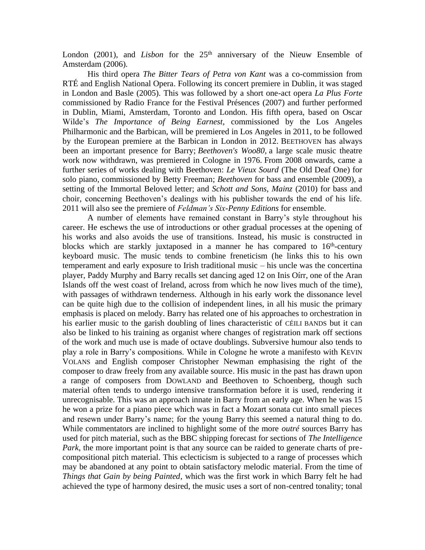London (2001), and *Lisbon* for the 25<sup>th</sup> anniversary of the Nieuw Ensemble of Amsterdam (2006).

His third opera *The Bitter Tears of Petra von Kant* was a co-commission from RTÉ and English National Opera. Following its concert premiere in Dublin, it was staged in London and Basle (2005). This was followed by a short one-act opera *La Plus Forte* commissioned by Radio France for the Festival Présences (2007) and further performed in Dublin, Miami, Amsterdam, Toronto and London. His fifth opera, based on Oscar Wilde's *The Importance of Being Earnest*, commissioned by the Los Angeles Philharmonic and the Barbican, will be premiered in Los Angeles in 2011, to be followed by the European premiere at the Barbican in London in 2012. BEETHOVEN has always been an important presence for Barry; *Beethoven's Woo80,* a large scale music theatre work now withdrawn, was premiered in Cologne in 1976. From 2008 onwards, came a further series of works dealing with Beethoven: *Le Vieux Sourd* (The Old Deaf One) for solo piano, commissioned by Betty Freeman; *Beethoven* for bass and ensemble (2009), a setting of the Immortal Beloved letter; and *Schott and Sons, Mainz* (2010) for bass and choir, concerning Beethoven's dealings with his publisher towards the end of his life. 2011 will also see the premiere of *Feldman's Six-Penny Editions* for ensemble.

A number of elements have remained constant in Barry's style throughout his career. He eschews the use of introductions or other gradual processes at the opening of his works and also avoids the use of transitions. Instead, his music is constructed in blocks which are starkly juxtaposed in a manner he has compared to  $16<sup>th</sup>$ -century keyboard music. The music tends to combine freneticism (he links this to his own temperament and early exposure to Irish traditional music – his uncle was the concertina player, Paddy Murphy and Barry recalls set dancing aged 12 on Inis Oírr, one of the Aran Islands off the west coast of Ireland, across from which he now lives much of the time), with passages of withdrawn tenderness. Although in his early work the dissonance level can be quite high due to the collision of independent lines, in all his music the primary emphasis is placed on melody. Barry has related one of his approaches to orchestration in his earlier music to the garish doubling of lines characteristic of CÉILI BANDS but it can also be linked to his training as organist where changes of registration mark off sections of the work and much use is made of octave doublings. Subversive humour also tends to play a role in Barry's compositions. While in Cologne he wrote a manifesto with KEVIN VOLANS and English composer Christopher Newman emphasising the right of the composer to draw freely from any available source. His music in the past has drawn upon a range of composers from DOWLAND and Beethoven to Schoenberg, though such material often tends to undergo intensive transformation before it is used, rendering it unrecognisable. This was an approach innate in Barry from an early age. When he was 15 he won a prize for a piano piece which was in fact a Mozart sonata cut into small pieces and resewn under Barry's name; for the young Barry this seemed a natural thing to do. While commentators are inclined to highlight some of the more *outré* sources Barry has used for pitch material, such as the BBC shipping forecast for sections of *The Intelligence Park*, the more important point is that any source can be raided to generate charts of precompositional pitch material. This eclecticism is subjected to a range of processes which may be abandoned at any point to obtain satisfactory melodic material. From the time of *Things that Gain by being Painted*, which was the first work in which Barry felt he had achieved the type of harmony desired, the music uses a sort of non-centred tonality; tonal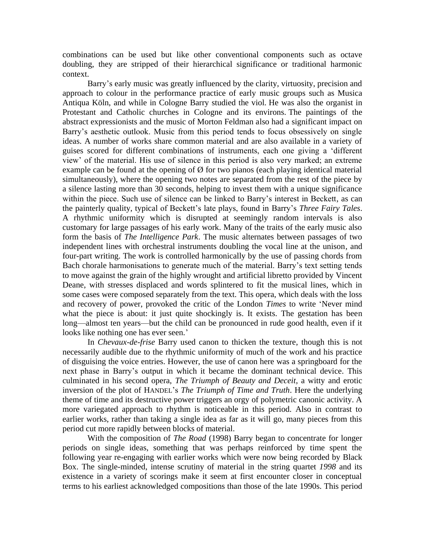combinations can be used but like other conventional components such as octave doubling, they are stripped of their hierarchical significance or traditional harmonic context.

Barry's early music was greatly influenced by the clarity, virtuosity, precision and approach to colour in the performance practice of early music groups such as Musica Antiqua Köln, and while in Cologne Barry studied the viol. He was also the organist in Protestant and Catholic churches in Cologne and its environs. The paintings of the abstract expressionists and the music of Morton Feldman also had a significant impact on Barry's aesthetic outlook. Music from this period tends to focus obsessively on single ideas. A number of works share common material and are also available in a variety of guises scored for different combinations of instruments, each one giving a 'different view' of the material. His use of silence in this period is also very marked; an extreme example can be found at the opening of  $\emptyset$  for two pianos (each playing identical material simultaneously), where the opening two notes are separated from the rest of the piece by a silence lasting more than 30 seconds, helping to invest them with a unique significance within the piece. Such use of silence can be linked to Barry's interest in Beckett, as can the painterly quality, typical of Beckett's late plays, found in Barry's *Three Fairy Tales*. A rhythmic uniformity which is disrupted at seemingly random intervals is also customary for large passages of his early work. Many of the traits of the early music also form the basis of *The Intelligence Park*. The music alternates between passages of two independent lines with orchestral instruments doubling the vocal line at the unison, and four-part writing. The work is controlled harmonically by the use of passing chords from Bach chorale harmonisations to generate much of the material. Barry's text setting tends to move against the grain of the highly wrought and artificial libretto provided by Vincent Deane, with stresses displaced and words splintered to fit the musical lines, which in some cases were composed separately from the text. This opera, which deals with the loss and recovery of power, provoked the critic of the London *Times* to write 'Never mind what the piece is about: it just quite shockingly is. It exists. The gestation has been long—almost ten years—but the child can be pronounced in rude good health, even if it looks like nothing one has ever seen.'

In *Chevaux-de-frise* Barry used canon to thicken the texture, though this is not necessarily audible due to the rhythmic uniformity of much of the work and his practice of disguising the voice entries. However, the use of canon here was a springboard for the next phase in Barry's output in which it became the dominant technical device. This culminated in his second opera, *The Triumph of Beauty and Deceit*, a witty and erotic inversion of the plot of HANDEL's *The Triumph of Time and Truth*. Here the underlying theme of time and its destructive power triggers an orgy of polymetric canonic activity. A more variegated approach to rhythm is noticeable in this period. Also in contrast to earlier works, rather than taking a single idea as far as it will go, many pieces from this period cut more rapidly between blocks of material.

With the composition of *The Road* (1998) Barry began to concentrate for longer periods on single ideas, something that was perhaps reinforced by time spent the following year re-engaging with earlier works which were now being recorded by Black Box. The single-minded, intense scrutiny of material in the string quartet *1998* and its existence in a variety of scorings make it seem at first encounter closer in conceptual terms to his earliest acknowledged compositions than those of the late 1990s. This period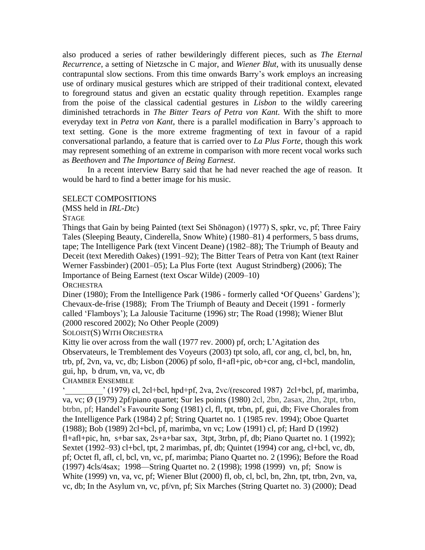also produced a series of rather bewilderingly different pieces, such as *The Eternal Recurrence*, a setting of Nietzsche in C major, and *Wiener Blut*, with its unusually dense contrapuntal slow sections. From this time onwards Barry's work employs an increasing use of ordinary musical gestures which are stripped of their traditional context, elevated to foreground status and given an ecstatic quality through repetition. Examples range from the poise of the classical cadential gestures in *Lisbon* to the wildly careering diminished tetrachords in *The Bitter Tears of Petra von Kant*. With the shift to more everyday text in *Petra von Kant*, there is a parallel modification in Barry's approach to text setting. Gone is the more extreme fragmenting of text in favour of a rapid conversational parlando, a feature that is carried over to *La Plus Forte,* though this work may represent something of an extreme in comparison with more recent vocal works such as *Beethoven* and *The Importance of Being Earnest*.

In a recent interview Barry said that he had never reached the age of reason. It would be hard to find a better image for his music.

#### SELECT COMPOSITIONS

(MSS held in *IRL-Dtc*)

**STAGE** 

Things that Gain by being Painted (text Sei Shōnagon) (1977) S, spkr, vc, pf; Three Fairy Tales (Sleeping Beauty, Cinderella, Snow White) (1980–81) 4 performers, 5 bass drums, tape; The Intelligence Park (text Vincent Deane) (1982–88); The Triumph of Beauty and Deceit (text Meredith Oakes) (1991–92); The Bitter Tears of Petra von Kant (text Rainer Werner Fassbinder) (2001–05); La Plus Forte (text August Strindberg) (2006); The Importance of Being Earnest (text Oscar Wilde) (2009–10)

**ORCHESTRA** 

Diner (1980); From the Intelligence Park (1986 - formerly called **'**Of Queens' Gardens'); Chevaux-de-frise (1988); From The Triumph of Beauty and Deceit (1991 - formerly called 'Flamboys'); La Jalousie Taciturne (1996) str; The Road (1998); Wiener Blut (2000 rescored 2002); No Other People (2009)

SOLOIST(S) WITH ORCHESTRA

Kitty lie over across from the wall (1977 rev. 2000) pf, orch; L'Agitation des Observateurs, le Tremblement des Voyeurs (2003) tpt solo, afl, cor ang, cl, bcl, bn, hn, trb, pf, 2vn, va, vc, db; Lisbon (2006) pf solo, fl+afl+pic, ob+cor ang, cl+bcl, mandolin, gui, hp, b drum, vn, va, vc, db

CHAMBER ENSEMBLE

' (1979) cl, 2cl+bcl, hpd+pf, 2va, 2vc/(rescored 1987) 2cl+bcl, pf, marimba, va, vc; Ø (1979) 2pf/piano quartet; Sur les points (1980) 2cl, 2bn, 2asax, 2hn, 2tpt, trbn, btrbn, pf; Handel's Favourite Song (1981) cl, fl, tpt, trbn, pf, gui, db; Five Chorales from the Intelligence Park (1984) 2 pf; String Quartet no. 1 (1985 rev. 1994); Oboe Quartet (1988); Bob (1989) 2cl+bcl, pf, marimba, vn vc; Low (1991) cl, pf; Hard D (1992) fl+afl+pic, hn, s+bar sax,  $2s+a+bar$  sax,  $3$ tpt,  $3rb$ , pf, db; Piano Quartet no. 1 (1992); Sextet (1992–93) cl+bcl, tpt, 2 marimbas, pf, db; Quintet (1994) cor ang, cl+bcl, vc, db, pf; Octet fl, afl, cl, bcl, vn, vc, pf, marimba; Piano Quartet no. 2 (1996); Before the Road (1997) 4cls/4sax; 1998—String Quartet no. 2 (1998); 1998 (1999) vn, pf; Snow is White (1999) vn, va, vc, pf; Wiener Blut (2000) fl, ob, cl, bcl, bn, 2hn, tpt, trbn, 2vn, va, vc, db; In the Asylum vn, vc, pf/vn, pf; Six Marches (String Quartet no. 3) (2000); Dead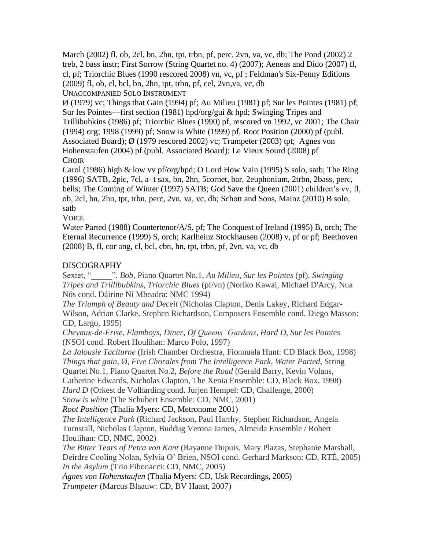March (2002) fl, ob, 2cl, bn, 2hn, tpt, trbn, pf, perc, 2vn, va, vc, db; The Pond (2002) 2 treb, 2 bass instr; First Sorrow (String Quartet no. 4) (2007); Aeneas and Dido (2007) fl, cl, pf; Triorchic Blues (1990 rescored 2008) vn, vc, pf ; Feldman's Six-Penny Editions  $(2009)$  fl, ob, cl, bcl, bn, 2hn, tpt, trbn, pf, cel, 2vn, va, vc, db UNACCOMPANIED SOLO INSTRUMENT

 $\varnothing$  (1979) vc; Things that Gain (1994) pf; Au Milieu (1981) pf; Sur les Pointes (1981) pf; Sur les Pointes—first section (1981) hpd/org/gui & hpd; Swinging Tripes and Trillibubkins (1986) pf; Triorchic Blues (1990) pf, rescored vn 1992, vc 2001; The Chair (1994) org; 1998 (1999) pf; Snow is White (1999) pf, Root Position (2000) pf (publ. Associated Board); Ø (1979 rescored 2002) vc; Trumpeter (2003) tpt; Agnes von Hohenstaufen (2004) pf (publ. Associated Board); Le Vieux Sourd (2008) pf **CHOIR** 

Carol (1986) high & low vv pf/org/hpd; O Lord How Vain (1995) S solo, satb; The Ring (1996) SATB, 2pic, 7cl, a+t sax, bn, 2hn, 5cornet, bar, 2euphonium, 2trbn, 2bass, perc, bells; The Coming of Winter (1997) SATB; God Save the Queen (2001) children's vv, fl, ob, 2cl, bn, 2hn, tpt, trbn, perc, 2vn, va, vc, db; Schott and Sons, Mainz (2010) B solo, satb

**VOICE** 

Water Parted (1988) Countertenor/A/S, pf; The Conquest of Ireland (1995) B, orch; The Eternal Recurrence (1999) S, orch; Karlheinz Stockhausen (2008) v, pf or pf; Beethoven  $(2008)$  B, fl, cor ang, cl, bcl, cbn, hn, tpt, trbn, pf,  $2\nu$ n, va, vc, db

## DISCOGRAPHY

Sextet, "\_\_\_\_\_", *Bob*, Piano Quartet No.1, *Au Milieu*, *Sur les Pointes* (pf), *Swinging Tripes and Trillibubkins*, *Triorchic Blues* (pf/vn) (Noriko Kawai, Michael D'Arcy, Nua Nós cond. Dáirine Ní Mheadra: NMC 1994)

*The Triumph of Beauty and Deceit* (Nicholas Clapton, Denis Lakey, Richard Edgar-Wilson, Adrian Clarke, Stephen Richardson, Composers Ensemble cond. Diego Masson: CD, Largo, 1995)

*Chevaux-de-Frise*, *Flamboys*, *Diner*, *Of Queens' Gardens*, *Hard D*, *Sur les Pointes* (NSOI cond. Robert Houlihan: Marco Polo, 1997)

*La Jalousie Taciturne* (Irish Chamber Orchestra, Fionnuala Hunt: CD Black Box, 1998) *Things that gain*, Ø, *Five Chorales from The Intelligence Park*, *Water Parted*, String Quartet No.1, Piano Quartet No.2, *Before the Road* (Gerald Barry, Kevin Volans, Catherine Edwards, Nicholas Clapton, The Xenia Ensemble: CD, Black Box, 1998) *Hard D* (Orkest de Volharding cond. Jurien Hempel: CD, Challenge, 2000)

*Snow is white* (The Schubert Ensemble: CD, NMC, 2001)

*Root Position* (Thalia Myers: CD, Metronome 2001)

*The Intelligence Park* (Richard Jackson, Paul Harrhy, Stephen Richardson, Angela Turnstall, Nicholas Clapton, Buddug Verona James, Almeida Ensemble / Robert Houlihan: CD, NMC, 2002)

*The Bitter Tears of Petra von Kant* (Rayanne Dupuis, Mary Plazas, Stephanie Marshall, Deirdre Cooling Nolan, Sylvia O' Brien, NSOI cond. Gerhard Markson: CD, RTÉ, 2005) *In the Asylum* (Trio Fibonacci: CD, NMC, 2005)

*Agnes von Hohenstaufen* (Thalia Myers: CD, Usk Recordings, 2005)

*Trumpeter* (Marcus Blaauw: CD, BV Haast, 2007)